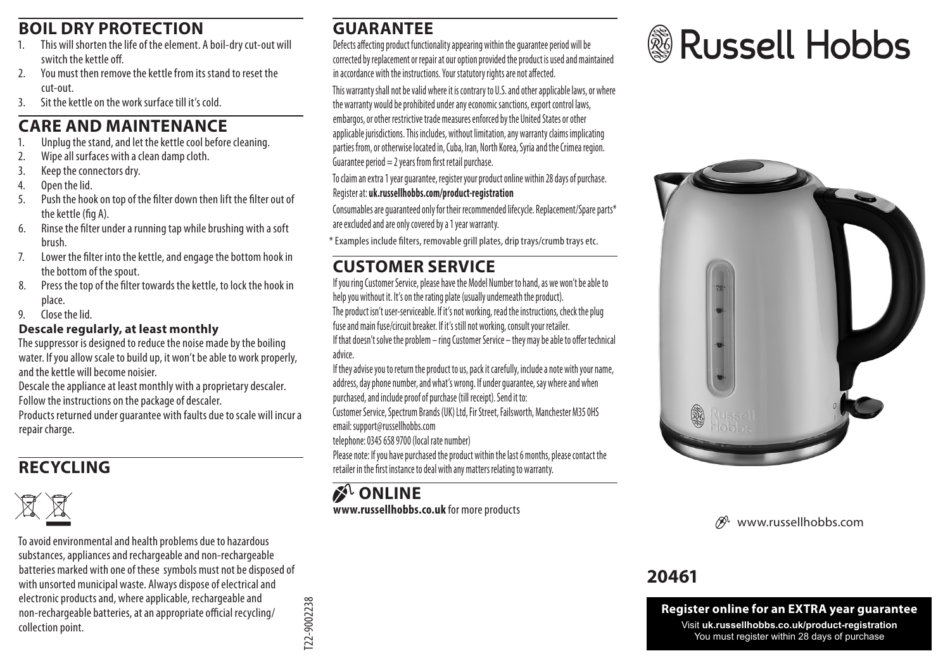# **BOIL DRY PROTECTION**

- This will shorten the life of the element. A boil-dry cut-out will switch the kettle off.
- 2. You must then remove the kettle from its stand to reset the cut-out.
- 3. Sit the kettle on the work surface till it's cold.

#### **CARE AND MAINTENANCE**

- 1. Unplug the stand, and let the kettle cool before cleaning.<br>2. Wine all surfaces with a clean damn cloth.
- Wine all surfaces with a clean damp cloth.
- 3. Keep the connectors dry.
- 4. Open the lid.
- 5. Push the hook on top of the filter down then lift the filter out of the kettle (fig A).
- 6. Rinse the filter under a running tap while brushing with a soft brush.
- 7. Lower the filter into the kettle, and engage the bottom hook in the bottom of the spout.
- 8. Press the top of the filter towards the kettle, to lock the hook in place.
- 9. Close the lid.

#### **Descale regularly, at least monthly**

The suppressor is designed to reduce the noise made by the boiling water. If you allow scale to build up, it won't be able to work properly, and the kettle will become noisier.

Descale the appliance at least monthly with a proprietary descaler. Follow the instructions on the package of descaler.

Products returned under guarantee with faults due to scale will incur a repair charge.

# **RECYCLING**



W To avoid environmental and health problems due to hazardous substances, appliances and rechargeable and non-rechargeable batteries marked with one of these symbols must not be disposed of with unsorted municipal waste. Always dispose of electrical and electronic products and, where applicable, rechargeable and non-rechargeable batteries, at an appropriate official recycling/ collection point.

#### **GUARANTEE**

Defects affecting product functionality appearing within the guarantee period will be corrected by replacement or repair at our option provided the product is used and maintained in accordance with the instructions. Your statutory rights are not affected.

This warranty shall not be valid where it is contrary to U.S. and other applicable laws, or where the warranty would be prohibited under any economic sanctions, export control laws, embargos, or other restrictive trade measures enforced by the United States or other applicable jurisdictions. This includes, without limitation, any warranty claims implicating parties from, or otherwise located in, Cuba, Iran, North Korea, Syria and the Crimea region. Guarantee period  $= 2$  years from first retail purchase.

To claim an extra 1 year guarantee, register your product online within 28 days of purchase. Register at: **uk.russellhobbs.com/product-registration** 

Consumables are guaranteed only for their recommended lifecycle. Replacement/Spare parts\* are excluded and are only covered by a 1 year warranty.

\* Examples include filters, removable grill plates, drip trays/crumb trays etc.

# **CUSTOMER SERVICE**

If you ring Customer Service, please have the Model Number to hand, as we won't be able to help you without it. It's on the rating plate (usually underneath the product). The product isn't user-serviceable. If it's not working, read the instructions, check the plug fuse and main fuse/circuit breaker. If it's still not working, consult your retailer. If that doesn't solve the problem – ring Customer Service – they may be able to offer technical advice.

If they advise you to return the product to us, pack it carefully, include a note with your name, address, day phone number, and what's wrong. If under guarantee, say where and when purchased, and include proof of purchase (till receipt). Send it to:

Customer Service, Spectrum Brands (UK) Ltd, Fir Street, Failsworth, Manchester M35 0HS email: support@russellhobbs.com

telephone: 0345 658 9700 (local rate number)

Please note: If you have purchased the product within the last 6 months, please contact the retailer in the first instance to deal with any matters relating to warranty.

**Z**<sup>I</sup>**ONLINE www.russellhobbs.co.uk** for more products





www.russellhobbs.com

# **20461**

**Register online for an EXTRA year guarantee** Visit **uk.russellhobbs.co.uk/product-registration** You must register within 28 days of purchase